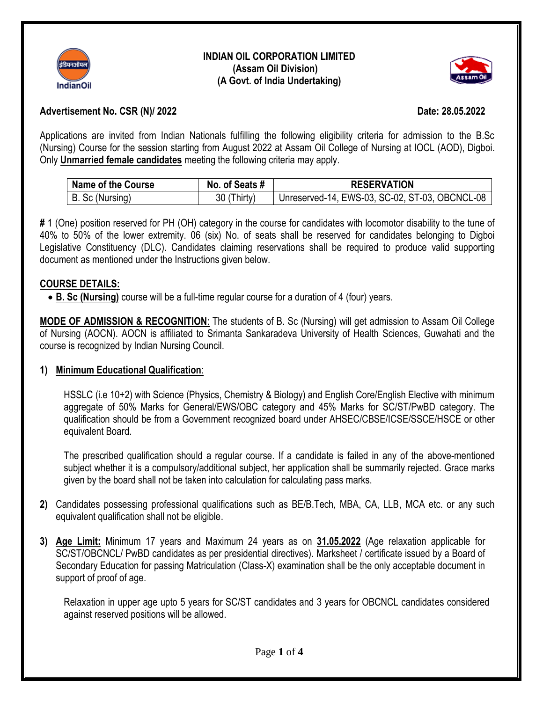

#### **INDIAN OIL CORPORATION LIMITED (Assam Oil Division) (A Govt. of India Undertaking)**



## **Advertisement No. CSR (N)/ 2022 Date: 28.05.2022**

Applications are invited from Indian Nationals fulfilling the following eligibility criteria for admission to the B.Sc (Nursing) Course for the session starting from August 2022 at Assam Oil College of Nursing at IOCL (AOD), Digboi. Only **Unmarried female candidates** meeting the following criteria may apply.

| Name of the Course | No. of Seats # | <b>RESERVATION</b>                             |
|--------------------|----------------|------------------------------------------------|
| B. Sc (Nursing)    | 30 (Thirty)    | Unreserved-14, EWS-03, SC-02, ST-03, OBCNCL-08 |

**#** 1 (One) position reserved for PH (OH) category in the course for candidates with locomotor disability to the tune of 40% to 50% of the lower extremity. 06 (six) No. of seats shall be reserved for candidates belonging to Digboi Legislative Constituency (DLC). Candidates claiming reservations shall be required to produce valid supporting document as mentioned under the Instructions given below.

#### **COURSE DETAILS:**

**B. Sc (Nursing)** course will be a full-time regular course for a duration of 4 (four) years.

**MODE OF ADMISSION & RECOGNITION**: The students of B. Sc (Nursing) will get admission to Assam Oil College of Nursing (AOCN). AOCN is affiliated to Srimanta Sankaradeva University of Health Sciences, Guwahati and the course is recognized by Indian Nursing Council.

#### **1) Minimum Educational Qualification**:

HSSLC (i.e 10+2) with Science (Physics, Chemistry & Biology) and English Core/English Elective with minimum aggregate of 50% Marks for General/EWS/OBC category and 45% Marks for SC/ST/PwBD category. The qualification should be from a Government recognized board under AHSEC/CBSE/ICSE/SSCE/HSCE or other equivalent Board.

The prescribed qualification should a regular course. If a candidate is failed in any of the above-mentioned subject whether it is a compulsory/additional subject, her application shall be summarily rejected. Grace marks given by the board shall not be taken into calculation for calculating pass marks.

- **2)** Candidates possessing professional qualifications such as BE/B.Tech, MBA, CA, LLB, MCA etc. or any such equivalent qualification shall not be eligible.
- **3) Age Limit:** Minimum 17 years and Maximum 24 years as on **31.05.2022** (Age relaxation applicable for SC/ST/OBCNCL/ PwBD candidates as per presidential directives). Marksheet / certificate issued by a Board of Secondary Education for passing Matriculation (Class-X) examination shall be the only acceptable document in support of proof of age.

Relaxation in upper age upto 5 years for SC/ST candidates and 3 years for OBCNCL candidates considered against reserved positions will be allowed.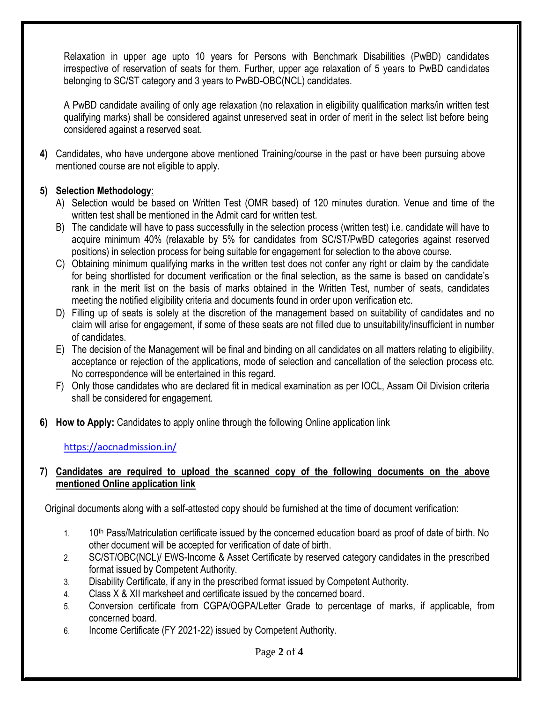Relaxation in upper age upto 10 years for Persons with Benchmark Disabilities (PwBD) candidates irrespective of reservation of seats for them. Further, upper age relaxation of 5 years to PwBD candidates belonging to SC/ST category and 3 years to PwBD-OBC(NCL) candidates.

A PwBD candidate availing of only age relaxation (no relaxation in eligibility qualification marks/in written test qualifying marks) shall be considered against unreserved seat in order of merit in the select list before being considered against a reserved seat.

**4)** Candidates, who have undergone above mentioned Training/course in the past or have been pursuing above mentioned course are not eligible to apply.

# **5) Selection Methodology**:

- A) Selection would be based on Written Test (OMR based) of 120 minutes duration. Venue and time of the written test shall be mentioned in the Admit card for written test.
- B) The candidate will have to pass successfully in the selection process (written test) i.e. candidate will have to acquire minimum 40% (relaxable by 5% for candidates from SC/ST/PwBD categories against reserved positions) in selection process for being suitable for engagement for selection to the above course.
- C) Obtaining minimum qualifying marks in the written test does not confer any right or claim by the candidate for being shortlisted for document verification or the final selection, as the same is based on candidate's rank in the merit list on the basis of marks obtained in the Written Test, number of seats, candidates meeting the notified eligibility criteria and documents found in order upon verification etc.
- D) Filling up of seats is solely at the discretion of the management based on suitability of candidates and no claim will arise for engagement, if some of these seats are not filled due to unsuitability/insufficient in number of candidates.
- E) The decision of the Management will be final and binding on all candidates on all matters relating to eligibility, acceptance or rejection of the applications, mode of selection and cancellation of the selection process etc. No correspondence will be entertained in this regard.
- F) Only those candidates who are declared fit in medical examination as per IOCL, Assam Oil Division criteria shall be considered for engagement.
- **6) How to Apply:** Candidates to apply online through the following Online application link

# <https://aocnadmission.in/>

### **7) Candidates are required to upload the scanned copy of the following documents on the above mentioned Online application link**

Original documents along with a self-attested copy should be furnished at the time of document verification:

- 1. 10<sup>th</sup> Pass/Matriculation certificate issued by the concerned education board as proof of date of birth. No other document will be accepted for verification of date of birth.
- 2. SC/ST/OBC(NCL)/ EWS-Income & Asset Certificate by reserved category candidates in the prescribed format issued by Competent Authority.
- 3. Disability Certificate, if any in the prescribed format issued by Competent Authority.
- 4. Class X & XII marksheet and certificate issued by the concerned board.
- 5. Conversion certificate from CGPA/OGPA/Letter Grade to percentage of marks, if applicable, from concerned board.
- 6. Income Certificate (FY 2021-22) issued by Competent Authority.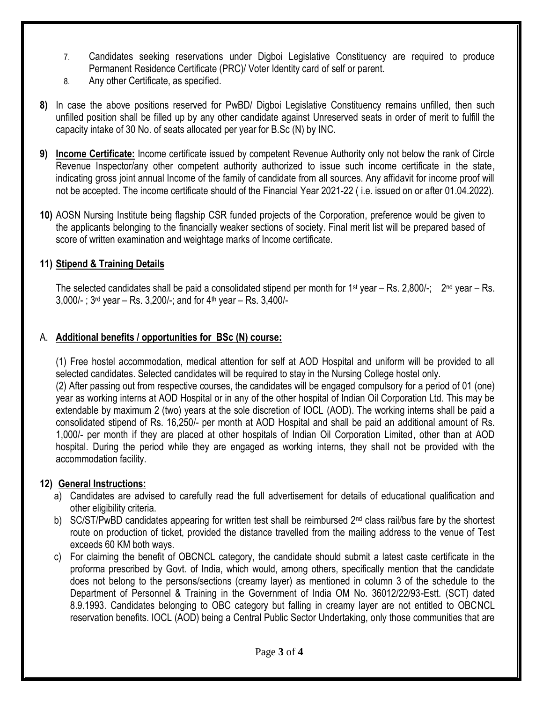- 7. Candidates seeking reservations under Digboi Legislative Constituency are required to produce Permanent Residence Certificate (PRC)/ Voter Identity card of self or parent.
- 8. Any other Certificate, as specified.
- **8)** In case the above positions reserved for PwBD/ Digboi Legislative Constituency remains unfilled, then such unfilled position shall be filled up by any other candidate against Unreserved seats in order of merit to fulfill the capacity intake of 30 No. of seats allocated per year for B.Sc (N) by INC.
- **9) Income Certificate:** Income certificate issued by competent Revenue Authority only not below the rank of Circle Revenue Inspector/any other competent authority authorized to issue such income certificate in the state, indicating gross joint annual Income of the family of candidate from all sources. Any affidavit for income proof will not be accepted. The income certificate should of the Financial Year 2021-22 ( i.e. issued on or after 01.04.2022).
- **10)** AOSN Nursing Institute being flagship CSR funded projects of the Corporation, preference would be given to the applicants belonging to the financially weaker sections of society. Final merit list will be prepared based of score of written examination and weightage marks of Income certificate.

# **11) Stipend & Training Details**

The selected candidates shall be paid a consolidated stipend per month for 1<sup>st</sup> year – Rs. 2,800/-; 2<sup>nd</sup> year – Rs. 3,000/-;  $3^{rd}$  year – Rs. 3,200/-; and for  $4^{th}$  year – Rs. 3,400/-

### A. **Additional benefits / opportunities for BSc (N) course:**

(1) Free hostel accommodation, medical attention for self at AOD Hospital and uniform will be provided to all selected candidates. Selected candidates will be required to stay in the Nursing College hostel only.

(2) After passing out from respective courses, the candidates will be engaged compulsory for a period of 01 (one) year as working interns at AOD Hospital or in any of the other hospital of Indian Oil Corporation Ltd. This may be extendable by maximum 2 (two) years at the sole discretion of IOCL (AOD). The working interns shall be paid a consolidated stipend of Rs. 16,250/- per month at AOD Hospital and shall be paid an additional amount of Rs. 1,000/- per month if they are placed at other hospitals of Indian Oil Corporation Limited, other than at AOD hospital. During the period while they are engaged as working interns, they shall not be provided with the accommodation facility.

# **12) General Instructions:**

- a) Candidates are advised to carefully read the full advertisement for details of educational qualification and other eligibility criteria.
- b) SC/ST/PwBD candidates appearing for written test shall be reimbursed 2<sup>nd</sup> class rail/bus fare by the shortest route on production of ticket, provided the distance travelled from the mailing address to the venue of Test exceeds 60 KM both ways.
- c) For claiming the benefit of OBCNCL category, the candidate should submit a latest caste certificate in the proforma prescribed by Govt. of India, which would, among others, specifically mention that the candidate does not belong to the persons/sections (creamy layer) as mentioned in column 3 of the schedule to the Department of Personnel & Training in the Government of India OM No. 36012/22/93-Estt. (SCT) dated 8.9.1993. Candidates belonging to OBC category but falling in creamy layer are not entitled to OBCNCL reservation benefits. IOCL (AOD) being a Central Public Sector Undertaking, only those communities that are